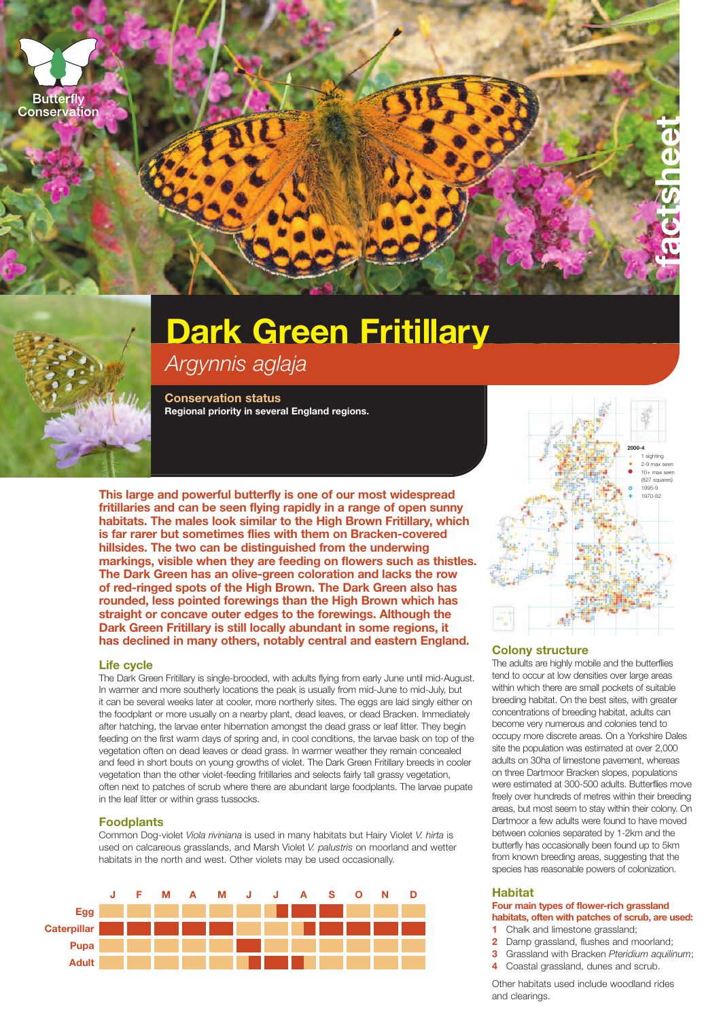



# **Dark Green Fritillary**

*Argynnis aglaja*

**Conservation status Regional priority in several England regions.**

**This large and powerful butterfly is one of our most widespread fritillaries and can be seen flying rapidly in a range of open sunny habitats. The males look similar to the High Brown Fritillary, which is far rarer but sometimes flies with them on Bracken-covered hillsides. The two can be distinguished from the underwing markings, visible when they are feeding on flowers such as thistles. The Dark Green has an olive-green coloration and lacks the row of red-ringed spots of the High Brown. The Dark Green also has rounded, less pointed forewings than the High Brown which has straight or concave outer edges to the forewings. Although the Dark Green Fritillary is still locally abundant in some regions, it has declined in many others, notably central and eastern England.**

#### **Life cycle**

The Dark Green Fritillary is single-brooded, with adults flying from early June until mid-August. In warmer and more southerly locations the peak is usually from mid-June to mid-July, but it can be several weeks later at cooler, more northerly sites. The eggs are laid singly either on the foodplant or more usually on a nearby plant, dead leaves, or dead Bracken. Immediately after hatching, the larvae enter hibernation amongst the dead grass or leaf litter. They begin feeding on the first warm days of spring and, in cool conditions, the larvae bask on top of the vegetation often on dead leaves or dead grass. In warmer weather they remain concealed and feed in short bouts on young growths of violet. The Dark Green Fritillary breeds in cooler vegetation than the other violet-feeding fritillaries and selects fairly tall grassy vegetation, often next to patches of scrub where there are abundant large foodplants. The larvae pupate in the leaf litter or within grass tussocks.

# **Foodplants**

Common Dog-violet *Viola riviniana* is used in many habitats but Hairy Violet *V. hirta* is used on calcareous grasslands, and Marsh Violet *V. palustris* on moorland and wetter habitats in the north and west. Other violets may be used occasionally.





# **Colony structure**

The adults are highly mobile and the butterflies tend to occur at low densities over large areas within which there are small pockets of suitable breeding habitat. On the best sites, with greater concentrations of breeding habitat, adults can become very numerous and colonies tend to occupy more discrete areas. On a Yorkshire Dales site the population was estimated at over 2,000 adults on 30ha of limestone pavement, whereas on three Dartmoor Bracken slopes, populations were estimated at 300-500 adults. Butterflies move freely over hundreds of metres within their breeding areas, but most seem to stay within their colony. On Dartmoor a few adults were found to have moved between colonies separated by 1-2km and the butterfly has occasionally been found up to 5km from known breeding areas, suggesting that the species has reasonable powers of colonization.

#### **Habitat**

# **Four main types of flower-rich grassland habitats, often with patches of scrub, are used:**

- **1** Chalk and limestone grassland;
- **2** Damp grassland, flushes and moorland;
- **3** Grassland with Bracken *Pteridium aquilinum*;
- **4** Coastal grassland, dunes and scrub.

Other habitats used include woodland rides and clearings.